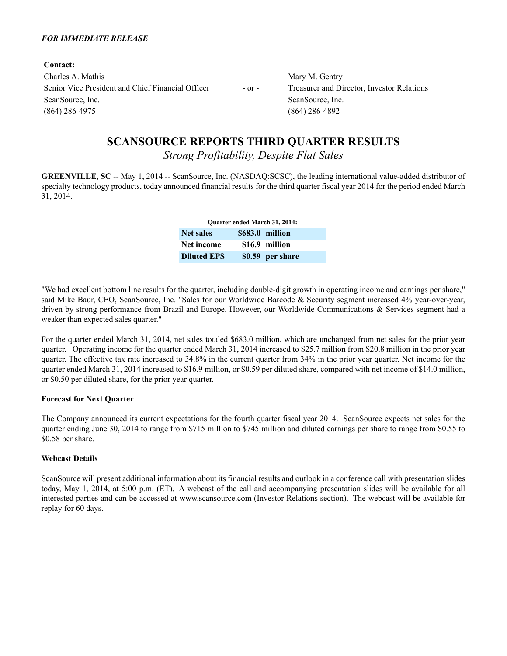#### *FOR IMMEDIATE RELEASE*

**Contact:** Charles A. Mathis Mary M. Gentry Senior Vice President and Chief Financial Officer - or - Treasurer and Director, Investor Relations ScanSource, Inc. ScanSource, Inc. ScanSource, Inc. (864) 286-4975 (864) 286-4892

# **SCANSOURCE REPORTS THIRD QUARTER RESULTS**

*Strong Profitability, Despite Flat Sales*

**GREENVILLE, SC** -- May 1, 2014 -- ScanSource, Inc. (NASDAQ:SCSC), the leading international value-added distributor of specialty technology products, today announced financial results for the third quarter fiscal year 2014 for the period ended March 31, 2014.

| <b>Ouarter ended March 31, 2014:</b> |  |                  |  |  |  |  |
|--------------------------------------|--|------------------|--|--|--|--|
| <b>Net sales</b>                     |  | \$683.0 million  |  |  |  |  |
| Net income                           |  | \$16.9 million   |  |  |  |  |
| <b>Diluted EPS</b>                   |  | \$0.59 per share |  |  |  |  |

"We had excellent bottom line results for the quarter, including double-digit growth in operating income and earnings per share," said Mike Baur, CEO, ScanSource, Inc. "Sales for our Worldwide Barcode & Security segment increased 4% year-over-year, driven by strong performance from Brazil and Europe. However, our Worldwide Communications & Services segment had a weaker than expected sales quarter."

For the quarter ended March 31, 2014, net sales totaled \$683.0 million, which are unchanged from net sales for the prior year quarter. Operating income for the quarter ended March 31, 2014 increased to \$25.7 million from \$20.8 million in the prior year quarter. The effective tax rate increased to 34.8% in the current quarter from 34% in the prior year quarter. Net income for the quarter ended March 31, 2014 increased to \$16.9 million, or \$0.59 per diluted share, compared with net income of \$14.0 million, or \$0.50 per diluted share, for the prior year quarter.

### **Forecast for Next Quarter**

The Company announced its current expectations for the fourth quarter fiscal year 2014. ScanSource expects net sales for the quarter ending June 30, 2014 to range from \$715 million to \$745 million and diluted earnings per share to range from \$0.55 to \$0.58 per share.

### **Webcast Details**

ScanSource will present additional information about its financial results and outlook in a conference call with presentation slides today, May 1, 2014, at 5:00 p.m. (ET). A webcast of the call and accompanying presentation slides will be available for all interested parties and can be accessed at www.scansource.com (Investor Relations section). The webcast will be available for replay for 60 days.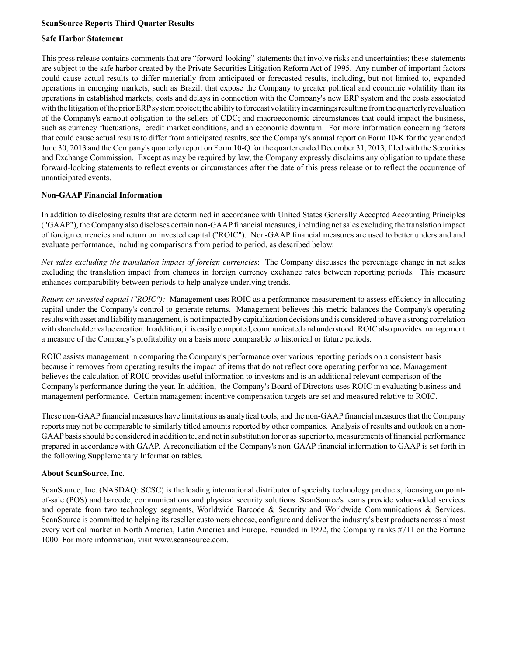### **ScanSource Reports Third Quarter Results**

### **Safe Harbor Statement**

This press release contains comments that are "forward-looking" statements that involve risks and uncertainties; these statements are subject to the safe harbor created by the Private Securities Litigation Reform Act of 1995. Any number of important factors could cause actual results to differ materially from anticipated or forecasted results, including, but not limited to, expanded operations in emerging markets, such as Brazil, that expose the Company to greater political and economic volatility than its operations in established markets; costs and delays in connection with the Company's new ERP system and the costs associated with the litigation of the prior ERPsystem project; the ability to forecast volatility in earnings resulting from the quarterly revaluation of the Company's earnout obligation to the sellers of CDC; and macroeconomic circumstances that could impact the business, such as currency fluctuations, credit market conditions, and an economic downturn. For more information concerning factors that could cause actual results to differ from anticipated results, see the Company's annual report on Form 10-K for the year ended June 30, 2013 and the Company's quarterly report on Form 10-Q for the quarter ended December 31, 2013, filed with the Securities and Exchange Commission. Except as may be required by law, the Company expressly disclaims any obligation to update these forward-looking statements to reflect events or circumstances after the date of this press release or to reflect the occurrence of unanticipated events.

#### **Non-GAAP Financial Information**

In addition to disclosing results that are determined in accordance with United States Generally Accepted Accounting Principles ("GAAP"), the Company also discloses certain non-GAAPfinancial measures, including net sales excluding the translation impact of foreign currencies and return on invested capital ("ROIC"). Non-GAAP financial measures are used to better understand and evaluate performance, including comparisons from period to period, as described below.

*Net sales excluding the translation impact of foreign currencies*: The Company discusses the percentage change in net sales excluding the translation impact from changes in foreign currency exchange rates between reporting periods. This measure enhances comparability between periods to help analyze underlying trends.

*Return on invested capital ("ROIC"):* Management uses ROIC as a performance measurement to assess efficiency in allocating capital under the Company's control to generate returns. Management believes this metric balances the Company's operating results with asset and liability management, is not impacted by capitalization decisions and is considered to have a strong correlation with shareholder value creation. In addition, it is easily computed, communicated and understood. ROIC also provides management a measure of the Company's profitability on a basis more comparable to historical or future periods.

ROIC assists management in comparing the Company's performance over various reporting periods on a consistent basis because it removes from operating results the impact of items that do not reflect core operating performance. Management believes the calculation of ROIC provides useful information to investors and is an additional relevant comparison of the Company's performance during the year. In addition, the Company's Board of Directors uses ROIC in evaluating business and management performance. Certain management incentive compensation targets are set and measured relative to ROIC.

These non-GAAPfinancial measures have limitations as analytical tools, and the non-GAAPfinancial measures that the Company reports may not be comparable to similarly titled amounts reported by other companies. Analysis of results and outlook on a non-GAAPbasis should be considered in addition to, and not in substitution for or as superior to, measurements of financial performance prepared in accordance with GAAP. A reconciliation of the Company's non-GAAPfinancial information to GAAPis set forth in the following Supplementary Information tables.

### **About ScanSource, Inc.**

ScanSource, Inc. (NASDAQ: SCSC) is the leading international distributor of specialty technology products, focusing on pointof-sale (POS) and barcode, communications and physical security solutions. ScanSource's teams provide value-added services and operate from two technology segments, Worldwide Barcode & Security and Worldwide Communications & Services. ScanSource is committed to helping its reseller customers choose, configure and deliver the industry's best products across almost every vertical market in North America, Latin America and Europe. Founded in 1992, the Company ranks #711 on the Fortune 1000. For more information, visit www.scansource.com.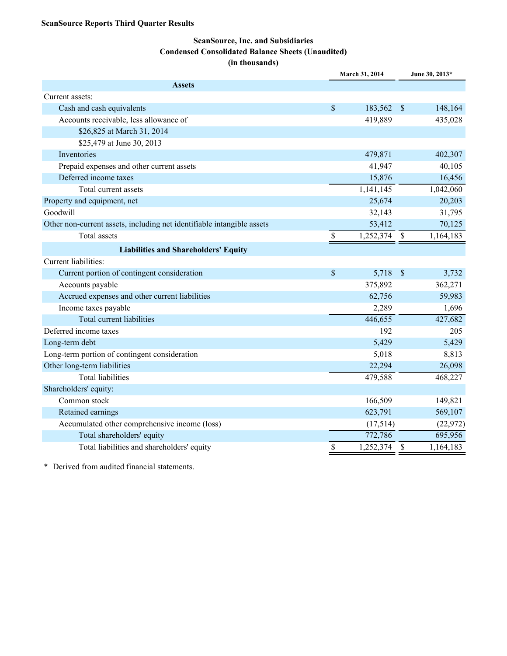### **ScanSource, Inc. and Subsidiaries Condensed Consolidated Balance Sheets (Unaudited) (in thousands)**

|                                                                        |               | March 31, 2014 |               | June 30, 2013* |
|------------------------------------------------------------------------|---------------|----------------|---------------|----------------|
| <b>Assets</b>                                                          |               |                |               |                |
| Current assets:                                                        |               |                |               |                |
| Cash and cash equivalents                                              | \$            | 183,562        | $\mathcal{S}$ | 148,164        |
| Accounts receivable, less allowance of                                 |               | 419,889        |               | 435,028        |
| \$26,825 at March 31, 2014                                             |               |                |               |                |
| \$25,479 at June 30, 2013                                              |               |                |               |                |
| Inventories                                                            |               | 479,871        |               | 402,307        |
| Prepaid expenses and other current assets                              |               | 41,947         |               | 40,105         |
| Deferred income taxes                                                  |               | 15,876         |               | 16,456         |
| Total current assets                                                   |               | 1,141,145      |               | 1,042,060      |
| Property and equipment, net                                            |               | 25,674         |               | 20,203         |
| Goodwill                                                               |               | 32,143         |               | 31,795         |
| Other non-current assets, including net identifiable intangible assets |               | 53,412         |               | 70,125         |
| <b>Total assets</b>                                                    | $\mathcal{S}$ | 1,252,374      | $\mathbb{S}$  | 1,164,183      |
| <b>Liabilities and Shareholders' Equity</b>                            |               |                |               |                |
| Current liabilities:                                                   |               |                |               |                |
| Current portion of contingent consideration                            | \$            | 5,718          | $\mathcal{S}$ | 3,732          |
| Accounts payable                                                       |               | 375,892        |               | 362,271        |
| Accrued expenses and other current liabilities                         |               | 62,756         |               | 59,983         |
| Income taxes payable                                                   |               | 2,289          |               | 1,696          |
| <b>Total current liabilities</b>                                       |               | 446,655        |               | 427,682        |
| Deferred income taxes                                                  |               | 192            |               | 205            |
| Long-term debt                                                         |               | 5,429          |               | 5,429          |
| Long-term portion of contingent consideration                          |               | 5,018          |               | 8,813          |
| Other long-term liabilities                                            |               | 22,294         |               | 26,098         |
| <b>Total liabilities</b>                                               |               | 479,588        |               | 468,227        |
| Shareholders' equity:                                                  |               |                |               |                |
| Common stock                                                           |               | 166,509        |               | 149,821        |
| Retained earnings                                                      |               | 623,791        |               | 569,107        |
| Accumulated other comprehensive income (loss)                          |               | (17,514)       |               | (22, 972)      |
| Total shareholders' equity                                             |               | 772,786        |               | 695,956        |
| Total liabilities and shareholders' equity                             | \$            | 1,252,374      | $\mathcal{S}$ | 1,164,183      |

\* Derived from audited financial statements.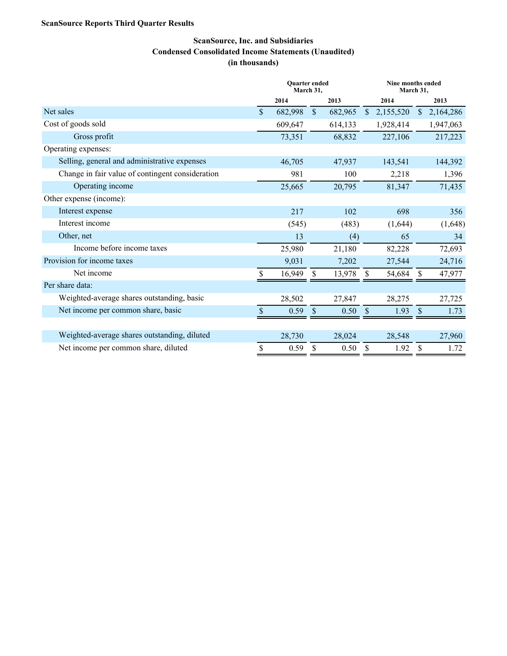### **ScanSource Reports Third Quarter Results**

### **ScanSource, Inc. and Subsidiaries Condensed Consolidated Income Statements (Unaudited) (in thousands)**

|                                                  | <b>Ouarter ended</b><br>March 31, |         |               | Nine months ended<br>March 31, |               |           |               |           |
|--------------------------------------------------|-----------------------------------|---------|---------------|--------------------------------|---------------|-----------|---------------|-----------|
|                                                  |                                   | 2014    |               | 2013                           |               | 2014      |               | 2013      |
| Net sales                                        | $\mathbf{\$}$                     | 682,998 | $\mathsf{\$}$ | 682,965                        | $\mathbb{S}$  | 2,155,520 | $\mathbb{S}$  | 2,164,286 |
| Cost of goods sold                               |                                   | 609,647 |               | 614,133                        |               | 1,928,414 |               | 1,947,063 |
| Gross profit                                     |                                   | 73,351  |               | 68,832                         |               | 227,106   |               | 217,223   |
| Operating expenses:                              |                                   |         |               |                                |               |           |               |           |
| Selling, general and administrative expenses     |                                   | 46,705  |               | 47,937                         |               | 143,541   |               | 144,392   |
| Change in fair value of contingent consideration |                                   | 981     |               | 100                            |               | 2,218     |               | 1,396     |
| Operating income                                 |                                   | 25,665  |               | 20,795                         |               | 81,347    |               | 71,435    |
| Other expense (income):                          |                                   |         |               |                                |               |           |               |           |
| Interest expense                                 |                                   | 217     |               | 102                            |               | 698       |               | 356       |
| Interest income                                  |                                   | (545)   |               | (483)                          |               | (1,644)   |               | (1,648)   |
| Other, net                                       |                                   | 13      |               | (4)                            |               | 65        |               | 34        |
| Income before income taxes                       |                                   | 25,980  |               | 21,180                         |               | 82,228    |               | 72,693    |
| Provision for income taxes                       |                                   | 9,031   |               | 7,202                          |               | 27,544    |               | 24,716    |
| Net income                                       | \$                                | 16,949  | \$            | 13,978                         | \$.           | 54,684    | <sup>\$</sup> | 47,977    |
| Per share data:                                  |                                   |         |               |                                |               |           |               |           |
| Weighted-average shares outstanding, basic       |                                   | 28,502  |               | 27,847                         |               | 28,275    |               | 27,725    |
| Net income per common share, basic               | $\mathcal{S}$                     | 0.59    | \$            | 0.50                           | $\mathcal{S}$ | 1.93      | $\mathbf S$   | 1.73      |
|                                                  |                                   |         |               |                                |               |           |               |           |
| Weighted-average shares outstanding, diluted     |                                   | 28,730  |               | 28,024                         |               | 28,548    |               | 27,960    |
| Net income per common share, diluted             | \$                                | 0.59    | \$            | 0.50                           | \$            | 1.92      | \$            | 1.72      |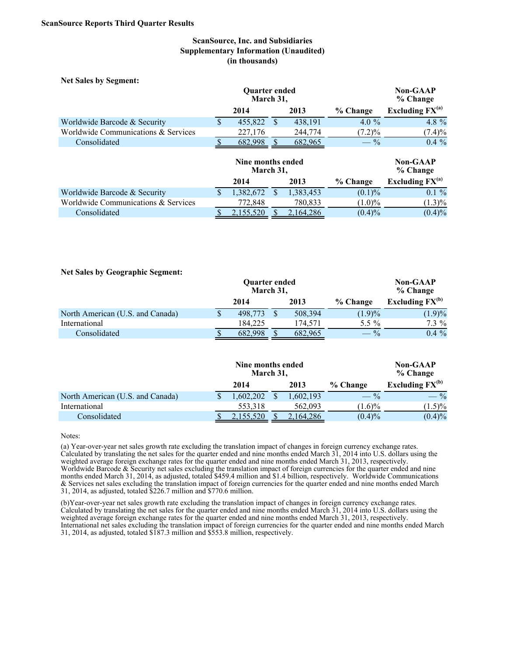### **ScanSource, Inc. and Subsidiaries Supplementary Information (Unaudited) (in thousands)**

| <b>Net Sales by Segment:</b>        |                                   |                                |     |           |                      |                      |
|-------------------------------------|-----------------------------------|--------------------------------|-----|-----------|----------------------|----------------------|
|                                     | <b>Ouarter ended</b><br>March 31, |                                |     |           | Non-GAAP<br>% Change |                      |
|                                     |                                   | 2014                           |     | 2013      | % Change             | Excluding $FX^{(a)}$ |
| Worldwide Barcode & Security        | <sup>\$</sup>                     | 455,822                        | \$. | 438,191   | 4.0 $\%$             | 4.8 %                |
| Worldwide Communications & Services |                                   | 227,176                        |     | 244,774   | $(7.2)\%$            | $(7.4)\%$            |
| Consolidated                        |                                   | 682,998                        |     | 682,965   | $- \frac{9}{6}$      | $0.4\%$              |
|                                     |                                   | Nine months ended<br>March 31, |     |           |                      | Non-GAAP<br>% Change |
|                                     |                                   | 2014                           |     | 2013      | % Change             | Excluding $FX^{(a)}$ |
| Worldwide Barcode & Security        | <sup>\$</sup>                     | 1,382,672                      | \$. | 1,383,453 | $(0.1)\%$            | $0.1 \%$             |
| Worldwide Communications & Services |                                   | 772,848                        |     | 780,833   | $(1.0)\%$            | $(1.3)\%$            |
| Consolidated                        |                                   | 2,155,520                      |     | 2,164,286 | $(0.4)\%$            | $(0.4)\%$            |

#### **Net Sales by Geographic Segment:**

|                                  | <b>Ouarter ended</b><br>March 31, |         |  |         |                 |                      |  |  |  |  |  |  | <b>Non-GAAP</b><br>% Change |
|----------------------------------|-----------------------------------|---------|--|---------|-----------------|----------------------|--|--|--|--|--|--|-----------------------------|
|                                  |                                   | 2014    |  | 2013    | % Change        | Excluding $FX^{(b)}$ |  |  |  |  |  |  |                             |
| North American (U.S. and Canada) |                                   | 498,773 |  | 508,394 | (1.9)%          | (1.9)%               |  |  |  |  |  |  |                             |
| International                    |                                   | 184.225 |  | 174.571 | 5.5 %           | $7.3\%$              |  |  |  |  |  |  |                             |
| Consolidated                     |                                   | 682.998 |  | 682.965 | $- \frac{9}{6}$ | $0.4\%$              |  |  |  |  |  |  |                             |

|                                  | Nine months ended<br>March 31, |          |  |           | <b>Non-GAAP</b><br>% Change |                      |  |
|----------------------------------|--------------------------------|----------|--|-----------|-----------------------------|----------------------|--|
|                                  |                                | 2014     |  | 2013      | % Change                    | Excluding $FX^{(b)}$ |  |
| North American (U.S. and Canada) |                                | .602.202 |  | 1,602,193 | $- \frac{9}{6}$             | $- \frac{9}{6}$      |  |
| International                    |                                | 553.318  |  | 562.093   | $(1.6)\%$                   | $(1.5)\%$            |  |
| Consolidated                     |                                | 155.520  |  | 2.164.286 | $(0.4)\%$                   | $(0.4)\%$            |  |

Notes:

(a) Year-over-year net sales growth rate excluding the translation impact of changes in foreign currency exchange rates. Calculated by translating the net sales for the quarter ended and nine months ended March 31, 2014 into U.S. dollars using the weighted average foreign exchange rates for the quarter ended and nine months ended March 31, 2013, respectively. Worldwide Barcode  $&$  Security net sales excluding the translation impact of foreign currencies for the quarter ended and nine months ended March 31, 2014, as adjusted, totaled \$459.4 million and \$1.4 billion, respectively. Worldwide Communications & Services net sales excluding the translation impact of foreign currencies for the quarter ended and nine months ended March 31, 2014, as adjusted, totaled \$226.7 million and \$770.6 million.

(b)Year-over-year net sales growth rate excluding the translation impact of changes in foreign currency exchange rates. Calculated by translating the net sales for the quarter ended and nine months ended March 31, 2014 into U.S. dollars using the weighted average foreign exchange rates for the quarter ended and nine months ended March 31, 2013, respectively. International net sales excluding the translation impact of foreign currencies for the quarter ended and nine months ended March 31, 2014, as adjusted, totaled \$187.3 million and \$553.8 million, respectively.